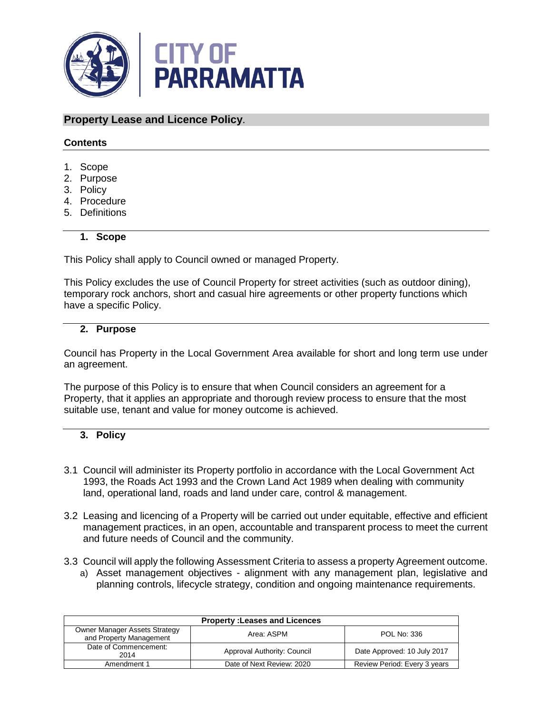

# **Property Lease and Licence Policy**.

## **Contents**

- 1. Scope
- 2. Purpose
- 3. Policy
- 4. Procedure
- 5. Definitions

## **1. Scope**

This Policy shall apply to Council owned or managed Property.

This Policy excludes the use of Council Property for street activities (such as outdoor dining), temporary rock anchors, short and casual hire agreements or other property functions which have a specific Policy.

## **2. Purpose**

Council has Property in the Local Government Area available for short and long term use under an agreement.

The purpose of this Policy is to ensure that when Council considers an agreement for a Property, that it applies an appropriate and thorough review process to ensure that the most suitable use, tenant and value for money outcome is achieved.

# **3. Policy**

- 3.1 Council will administer its Property portfolio in accordance with the Local Government Act 1993, the Roads Act 1993 and the Crown Land Act 1989 when dealing with community land, operational land, roads and land under care, control & management.
- 3.2 Leasing and licencing of a Property will be carried out under equitable, effective and efficient management practices, in an open, accountable and transparent process to meet the current and future needs of Council and the community.
- 3.3 Council will apply the following Assessment Criteria to assess a property Agreement outcome. a) Asset management objectives - alignment with any management plan, legislative and planning controls, lifecycle strategy, condition and ongoing maintenance requirements.

| <b>Property: Leases and Licences</b>                            |                             |                              |  |  |
|-----------------------------------------------------------------|-----------------------------|------------------------------|--|--|
| <b>Owner Manager Assets Strategy</b><br>and Property Management | Area: ASPM                  | POL No: 336                  |  |  |
| Date of Commencement:<br>2014                                   | Approval Authority: Council | Date Approved: 10 July 2017  |  |  |
| Amendment 1                                                     | Date of Next Review: 2020   | Review Period: Every 3 years |  |  |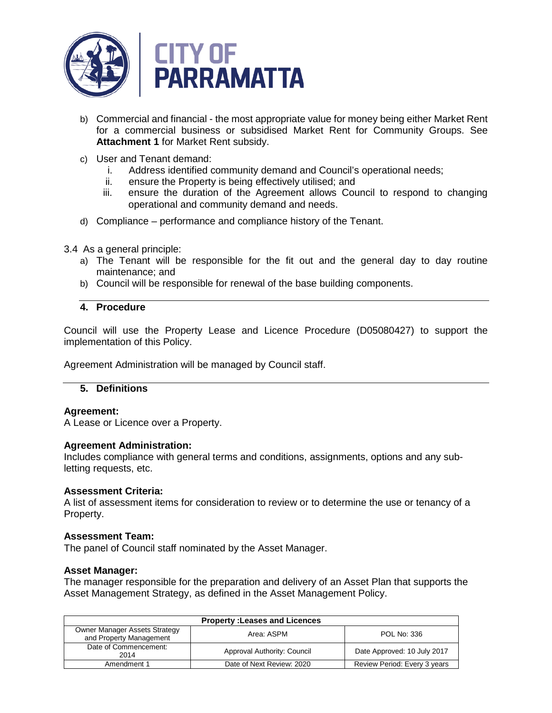

- b) Commercial and financial the most appropriate value for money being either Market Rent for a commercial business or subsidised Market Rent for Community Groups. See **Attachment 1** for Market Rent subsidy.
- c) User and Tenant demand:
	- i. Address identified community demand and Council's operational needs;
	- ii. ensure the Property is being effectively utilised; and
	- iii. ensure the duration of the Agreement allows Council to respond to changing operational and community demand and needs.
- d) Compliance performance and compliance history of the Tenant.
- 3.4 As a general principle:
	- a) The Tenant will be responsible for the fit out and the general day to day routine maintenance; and
	- b) Council will be responsible for renewal of the base building components.

## **4. Procedure**

Council will use the Property Lease and Licence Procedure (D05080427) to support the implementation of this Policy.

Agreement Administration will be managed by Council staff.

## **5. Definitions**

## **Agreement:**

A Lease or Licence over a Property.

## **Agreement Administration:**

Includes compliance with general terms and conditions, assignments, options and any subletting requests, etc.

## **Assessment Criteria:**

A list of assessment items for consideration to review or to determine the use or tenancy of a Property.

## **Assessment Team:**

The panel of Council staff nominated by the Asset Manager.

## **Asset Manager:**

The manager responsible for the preparation and delivery of an Asset Plan that supports the Asset Management Strategy, as defined in the Asset Management Policy.

| <b>Property: Leases and Licences</b>                            |                             |                              |  |  |
|-----------------------------------------------------------------|-----------------------------|------------------------------|--|--|
| <b>Owner Manager Assets Strategy</b><br>and Property Management | Area: ASPM                  | POL No: 336                  |  |  |
| Date of Commencement:<br>2014                                   | Approval Authority: Council | Date Approved: 10 July 2017  |  |  |
| Amendment 1                                                     | Date of Next Review: 2020   | Review Period: Every 3 years |  |  |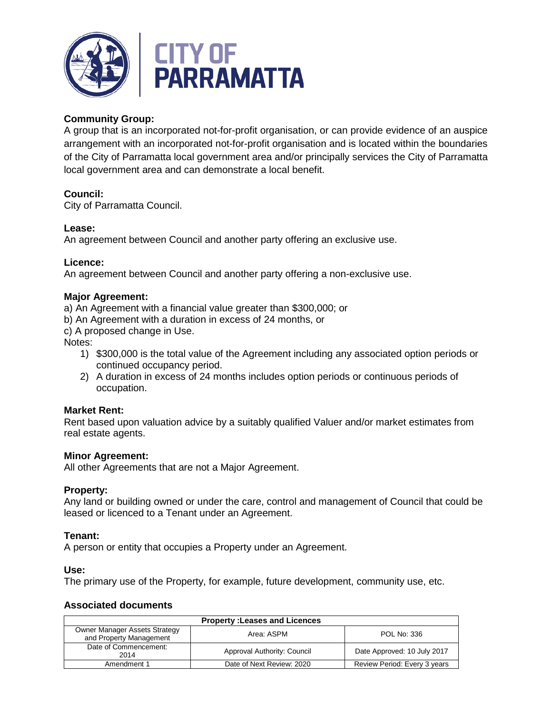

# **Community Group:**

A group that is an incorporated not-for-profit organisation, or can provide evidence of an auspice arrangement with an incorporated not-for-profit organisation and is located within the boundaries of the City of Parramatta local government area and/or principally services the City of Parramatta local government area and can demonstrate a local benefit.

# **Council:**

City of Parramatta Council.

# **Lease:**

An agreement between Council and another party offering an exclusive use.

# **Licence:**

An agreement between Council and another party offering a non-exclusive use.

## **Major Agreement:**

a) An Agreement with a financial value greater than \$300,000; or

b) An Agreement with a duration in excess of 24 months, or

c) A proposed change in Use.

Notes:

- 1) \$300,000 is the total value of the Agreement including any associated option periods or continued occupancy period.
- 2) A duration in excess of 24 months includes option periods or continuous periods of occupation.

# **Market Rent:**

Rent based upon valuation advice by a suitably qualified Valuer and/or market estimates from real estate agents.

## **Minor Agreement:**

All other Agreements that are not a Major Agreement.

## **Property:**

Any land or building owned or under the care, control and management of Council that could be leased or licenced to a Tenant under an Agreement.

## **Tenant:**

A person or entity that occupies a Property under an Agreement.

## **Use:**

The primary use of the Property, for example, future development, community use, etc.

## **Associated documents**

| <b>Property: Leases and Licences</b>                            |                             |                              |  |  |
|-----------------------------------------------------------------|-----------------------------|------------------------------|--|--|
| <b>Owner Manager Assets Strategy</b><br>and Property Management | Area: ASPM                  | POL No: 336                  |  |  |
| Date of Commencement:<br>2014                                   | Approval Authority: Council | Date Approved: 10 July 2017  |  |  |
| Amendment 1                                                     | Date of Next Review: 2020   | Review Period: Every 3 years |  |  |